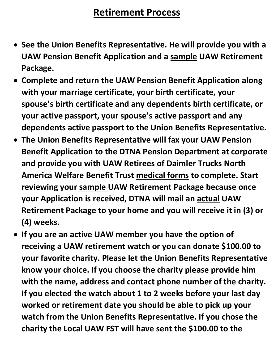## **Retirement Process**

- **See the Union Benefits Representative. He will provide you with a UAW Pension Benefit Application and a sample UAW Retirement Package.**
- **Complete and return the UAW Pension Benefit Application along with your marriage certificate, your birth certificate, your spouse's birth certificate and any dependents birth certificate, or your active passport, your spouse's active passport and any dependents active passport to the Union Benefits Representative.**
- **The Union Benefits Representative will fax your UAW Pension Benefit Application to the DTNA Pension Department at corporate and provide you with UAW Retirees of Daimler Trucks North America Welfare Benefit Trust medical forms to complete. Start reviewing your sample UAW Retirement Package because once your Application is received, DTNA will mail an actual UAW Retirement Package to your home and you will receive it in (3) or (4) weeks.**
- **If you are an active UAW member you have the option of receiving a UAW retirement watch or you can donate \$100.00 to your favorite charity. Please let the Union Benefits Representative know your choice. If you choose the charity please provide him with the name, address and contact phone number of the charity. If you elected the watch about 1 to 2 weeks before your last day worked or retirement date you should be able to pick up your watch from the Union Benefits Representative. If you chose the charity the Local UAW FST will have sent the \$100.00 to the**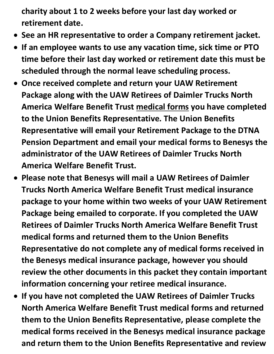**charity about 1 to 2 weeks before your last day worked or retirement date.**

- **See an HR representative to order a Company retirement jacket.**
- **If an employee wants to use any vacation time, sick time or PTO time before their last day worked or retirement date this must be scheduled through the normal leave scheduling process.**
- **Once received complete and return your UAW Retirement Package along with the UAW Retirees of Daimler Trucks North America Welfare Benefit Trust medical forms you have completed to the Union Benefits Representative. The Union Benefits Representative will email your Retirement Package to the DTNA Pension Department and email your medical forms to Benesys the administrator of the UAW Retirees of Daimler Trucks North America Welfare Benefit Trust.**
- **Please note that Benesys will mail a UAW Retirees of Daimler Trucks North America Welfare Benefit Trust medical insurance package to your home within two weeks of your UAW Retirement Package being emailed to corporate. If you completed the UAW Retirees of Daimler Trucks North America Welfare Benefit Trust medical forms and returned them to the Union Benefits Representative do not complete any of medical forms received in the Benesys medical insurance package, however you should review the other documents in this packet they contain important information concerning your retiree medical insurance.**
- **If you have not completed the UAW Retirees of Daimler Trucks North America Welfare Benefit Trust medical forms and returned them to the Union Benefits Representative, please complete the medical forms received in the Benesys medical insurance package and return them to the Union Benefits Representative and review**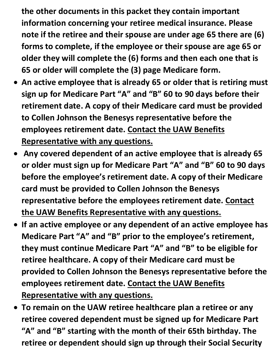**the other documents in this packet they contain important information concerning your retiree medical insurance. Please note if the retiree and their spouse are under age 65 there are (6) forms to complete, if the employee or their spouse are age 65 or older they will complete the (6) forms and then each one that is 65 or older will complete the (3) page Medicare form.** 

- **An active employee that is already 65 or older that is retiring must sign up for Medicare Part "A" and "B" 60 to 90 days before their retirement date. A copy of their Medicare card must be provided to Collen Johnson the Benesys representative before the employees retirement date. Contact the UAW Benefits Representative with any questions.**
- **Any covered dependent of an active employee that is already 65 or older must sign up for Medicare Part "A" and "B" 60 to 90 days before the employee's retirement date. A copy of their Medicare card must be provided to Collen Johnson the Benesys representative before the employees retirement date. Contact the UAW Benefits Representative with any questions.**
- **If an active employee or any dependent of an active employee has Medicare Part "A" and "B" prior to the employee's retirement, they must continue Medicare Part "A" and "B" to be eligible for retiree healthcare. A copy of their Medicare card must be provided to Collen Johnson the Benesys representative before the employees retirement date. Contact the UAW Benefits Representative with any questions.**
- **To remain on the UAW retiree healthcare plan a retiree or any retiree covered dependent must be signed up for Medicare Part "A" and "B" starting with the month of their 65th birthday. The retiree or dependent should sign up through their Social Security**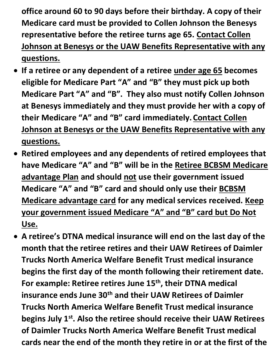**office around 60 to 90 days before their birthday. A copy of their Medicare card must be provided to Collen Johnson the Benesys representative before the retiree turns age 65. Contact Collen Johnson at Benesys or the UAW Benefits Representative with any questions.**

- **If a retiree or any dependent of a retiree under age 65 becomes eligible for Medicare Part "A" and "B" they must pick up both Medicare Part "A" and "B". They also must notify Collen Johnson at Benesys immediately and they must provide her with a copy of their Medicare "A" and "B" card immediately.Contact Collen Johnson at Benesys or the UAW Benefits Representative with any questions.**
- **Retired employees and any dependents of retired employees that have Medicare "A" and "B" will be in the Retiree BCBSM Medicare advantage Plan and should not use their government issued Medicare "A" and "B" card and should only use their BCBSM Medicare advantage card for any medical services received. Keep your government issued Medicare "A" and "B" card but Do Not Use.**
- **A retiree's DTNA medical insurance will end on the last day of the month that the retiree retires and their UAW Retirees of Daimler Trucks North America Welfare Benefit Trust medical insurance begins the first day of the month following their retirement date.**  For example: Retiree retires June 15<sup>th</sup>, their DTNA medical **insurance ends June 30th and their UAW Retirees of Daimler Trucks North America Welfare Benefit Trust medical insurance begins July 1st. Also the retiree should receive their UAW Retirees of Daimler Trucks North America Welfare Benefit Trust medical cards near the end of the month they retire in or at the first of the**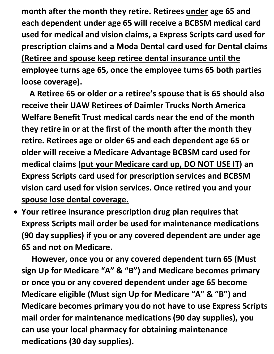**month after the month they retire. Retirees under age 65 and each dependent under age 65 will receive a BCBSM medical card used for medical and vision claims, a Express Scripts card used for prescription claims and a Moda Dental card used for Dental claims (Retiree and spouse keep retiree dental insurance until the employee turns age 65, once the employee turns 65 both parties loose coverage).** 

 **A Retiree 65 or older or a retiree's spouse that is 65 should also receive their UAW Retirees of Daimler Trucks North America Welfare Benefit Trust medical cards near the end of the month they retire in or at the first of the month after the month they retire. Retirees age or older 65 and each dependent age 65 or older will receive a Medicare Advantage BCBSM card used for medical claims (put your Medicare card up, DO NOT USE IT) an Express Scripts card used for prescription services and BCBSM vision card used for vision services. Once retired you and your spouse lose dental coverage.**

• **Your retiree insurance prescription drug plan requires that Express Scripts mail order be used for maintenance medications (90 day supplies) if you or any covered dependent are under age 65 and not on Medicare.** 

 **However, once you or any covered dependent turn 65 (Must sign Up for Medicare "A" & "B") and Medicare becomes primary or once you or any covered dependent under age 65 become Medicare eligible (Must sign Up for Medicare "A" & "B") and Medicare becomes primary you do not have to use Express Scripts mail order for maintenance medications (90 day supplies), you can use your local pharmacy for obtaining maintenance medications (30 day supplies).**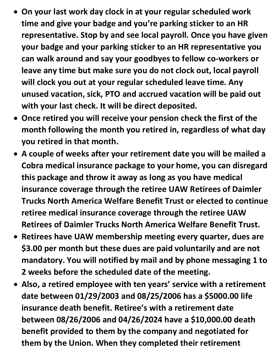- **On your last work day clock in at your regular scheduled work time and give your badge and you're parking sticker to an HR representative. Stop by and see local payroll. Once you have given your badge and your parking sticker to an HR representative you can walk around and say your goodbyes to fellow co-workers or leave any time but make sure you do not clock out, local payroll will clock you out at your regular scheduled leave time. Any unused vacation, sick, PTO and accrued vacation will be paid out with your last check. It will be direct deposited.**
- **Once retired you will receive your pension check the first of the month following the month you retired in, regardless of what day you retired in that month.**
- **A couple of weeks after your retirement date you will be mailed a Cobra medical insurance package to your home, you can disregard this package and throw it away as long as you have medical insurance coverage through the retiree UAW Retirees of Daimler Trucks North America Welfare Benefit Trust or elected to continue retiree medical insurance coverage through the retiree UAW Retirees of Daimler Trucks North America Welfare Benefit Trust.**
- **Retirees have UAW membership meeting every quarter, dues are \$3.00 per month but these dues are paid voluntarily and are not mandatory. You will notified by mail and by phone messaging 1 to 2 weeks before the scheduled date of the meeting.**
- **Also, a retired employee with ten years' service with a retirement date between 01/29/2003 and 08/25/2006 has a \$5000.00 life insurance death benefit. Retiree's with a retirement date between 08/26/2006 and 04/26/2024 have a \$10,000.00 death benefit provided to them by the company and negotiated for them by the Union. When they completed their retirement**